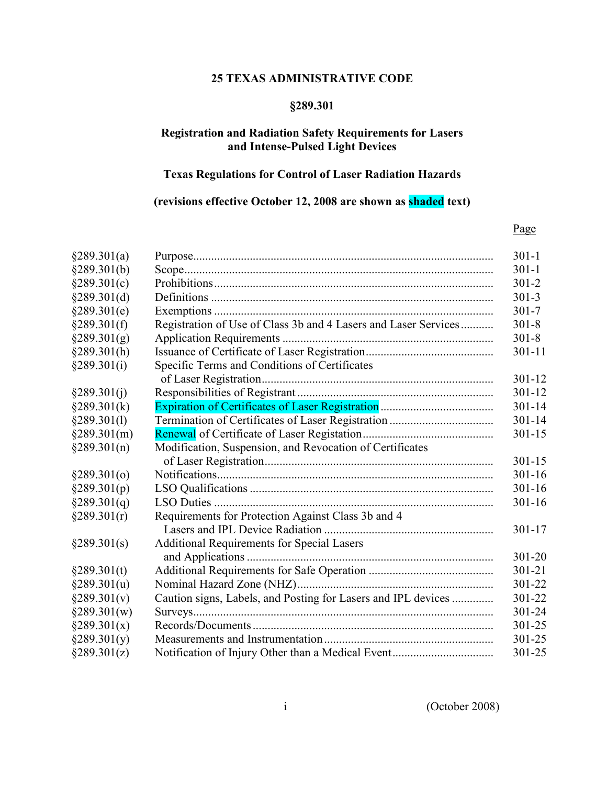### 25 TEXAS ADMINISTRATIVE CODE

# §289.301

# Registration and Radiation Safety Requirements for Lasers and Intense-Pulsed Light Devices

## Texas Regulations for Control of Laser Radiation Hazards

## (revisions effective October 12, 2008 are shown as shaded text)

#### Page

| §289.301(a)  |                                                                 | $301 - 1$  |
|--------------|-----------------------------------------------------------------|------------|
| §289.301(b)  |                                                                 | $301 - 1$  |
| §289.301(c)  |                                                                 | $301 - 2$  |
| \$289.301(d) |                                                                 | $301 - 3$  |
| §289.301(e)  |                                                                 | $301 - 7$  |
| §289.301(f)  | Registration of Use of Class 3b and 4 Lasers and Laser Services | $301 - 8$  |
| §289.301(g)  |                                                                 | $301 - 8$  |
| §289.301(h)  |                                                                 | $301 - 11$ |
| §289.301(i)  | Specific Terms and Conditions of Certificates                   |            |
|              |                                                                 | $301 - 12$ |
| §289.301(i)  |                                                                 | 301-12     |
| §289.301(k)  |                                                                 | $301 - 14$ |
| §289.301(1)  |                                                                 | 301-14     |
| §289.301(m)  |                                                                 | $301 - 15$ |
| §289.301(n)  | Modification, Suspension, and Revocation of Certificates        |            |
|              |                                                                 | $301 - 15$ |
| §289.301(0)  |                                                                 | $301 - 16$ |
| §289.301(p)  |                                                                 | $301 - 16$ |
| §289.301(q)  |                                                                 | $301 - 16$ |
| §289.301(r)  | Requirements for Protection Against Class 3b and 4              |            |
|              |                                                                 | $301 - 17$ |
| §289.301(s)  | <b>Additional Requirements for Special Lasers</b>               |            |
|              |                                                                 | 301-20     |
| §289.301(t)  |                                                                 | 301-21     |
| §289.301(u)  |                                                                 | 301-22     |
| §289.301(v)  | Caution signs, Labels, and Posting for Lasers and IPL devices   | 301-22     |
| §289.301(w)  |                                                                 | 301-24     |
| §289.301(x)  |                                                                 | 301-25     |
| §289.301(y)  |                                                                 | 301-25     |
| §289.301(z)  |                                                                 | 301-25     |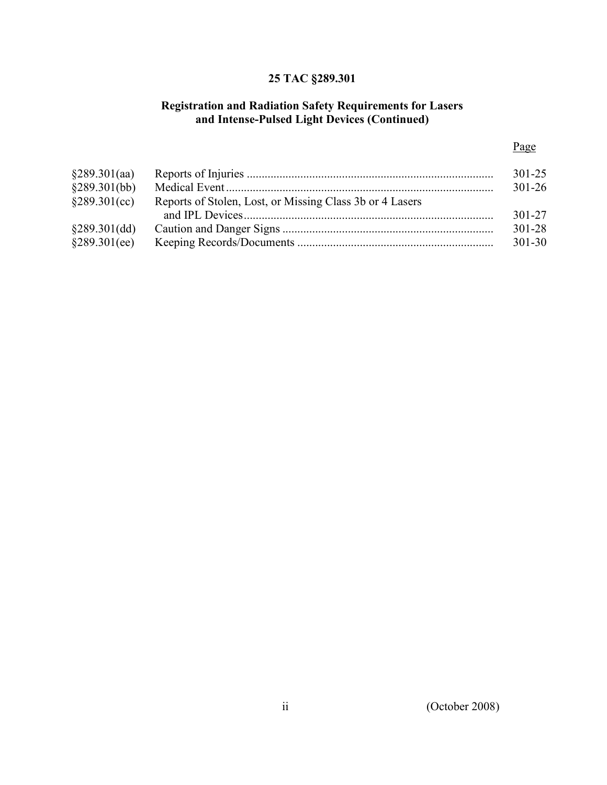# 25 TAC §289.301

### Registration and Radiation Safety Requirements for Lasers and Intense-Pulsed Light Devices (Continued)

## Page

| §289.301(aa)<br>§289.301(bb) |                                                          | 301-25<br>$301 - 26$ |  |
|------------------------------|----------------------------------------------------------|----------------------|--|
| §289.301(cc)                 | Reports of Stolen, Lost, or Missing Class 3b or 4 Lasers |                      |  |
|                              |                                                          | 301-27               |  |
| §289.301(dd)                 |                                                          | $301 - 28$           |  |
| §289.301(ee)                 |                                                          | 301-30               |  |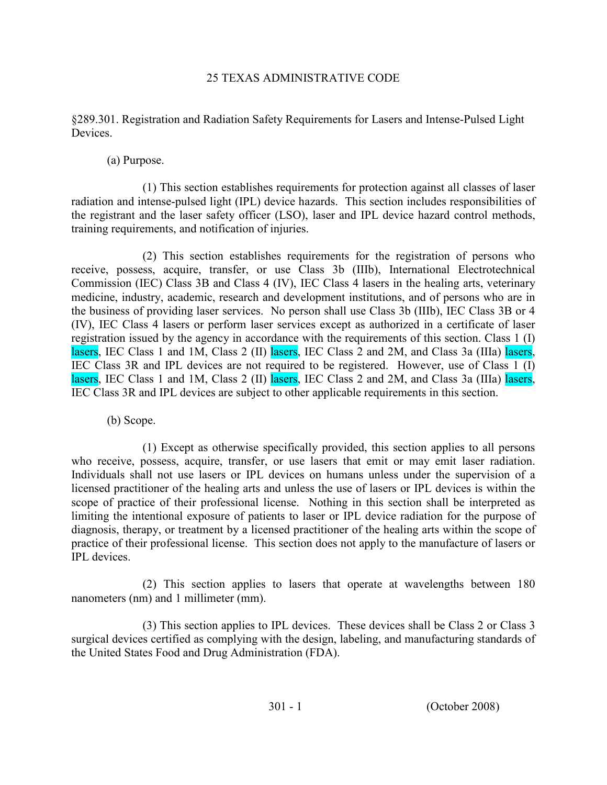## 25 TEXAS ADMINISTRATIVE CODE

§289.301. Registration and Radiation Safety Requirements for Lasers and Intense-Pulsed Light Devices.

(a) Purpose.

(1) This section establishes requirements for protection against all classes of laser radiation and intense-pulsed light (IPL) device hazards. This section includes responsibilities of the registrant and the laser safety officer (LSO), laser and IPL device hazard control methods, training requirements, and notification of injuries.

(2) This section establishes requirements for the registration of persons who receive, possess, acquire, transfer, or use Class 3b (IIIb), International Electrotechnical Commission (IEC) Class 3B and Class 4 (IV), IEC Class 4 lasers in the healing arts, veterinary medicine, industry, academic, research and development institutions, and of persons who are in the business of providing laser services. No person shall use Class 3b (IIIb), IEC Class 3B or 4 (IV), IEC Class 4 lasers or perform laser services except as authorized in a certificate of laser registration issued by the agency in accordance with the requirements of this section. Class 1 (I) lasers, IEC Class 1 and 1M, Class 2 (II) lasers, IEC Class 2 and 2M, and Class 3a (IIIa) lasers, IEC Class 3R and IPL devices are not required to be registered. However, use of Class  $1$  (I) lasers, IEC Class 1 and 1M, Class 2 (II) lasers, IEC Class 2 and 2M, and Class 3a (IIIa) lasers, IEC Class 3R and IPL devices are subject to other applicable requirements in this section.

(b) Scope.

(1) Except as otherwise specifically provided, this section applies to all persons who receive, possess, acquire, transfer, or use lasers that emit or may emit laser radiation. Individuals shall not use lasers or IPL devices on humans unless under the supervision of a licensed practitioner of the healing arts and unless the use of lasers or IPL devices is within the scope of practice of their professional license. Nothing in this section shall be interpreted as limiting the intentional exposure of patients to laser or IPL device radiation for the purpose of diagnosis, therapy, or treatment by a licensed practitioner of the healing arts within the scope of practice of their professional license. This section does not apply to the manufacture of lasers or IPL devices.

 (2) This section applies to lasers that operate at wavelengths between 180 nanometers (nm) and 1 millimeter (mm).

(3) This section applies to IPL devices. These devices shall be Class 2 or Class 3 surgical devices certified as complying with the design, labeling, and manufacturing standards of the United States Food and Drug Administration (FDA).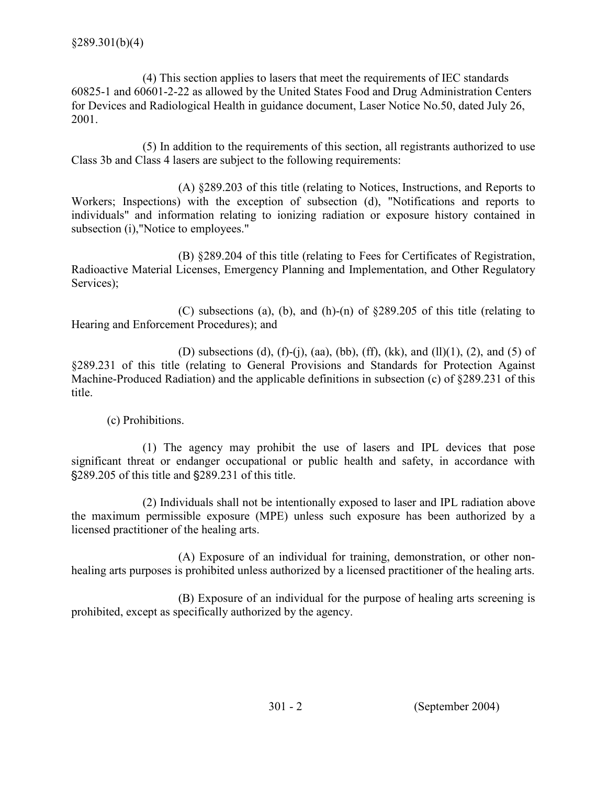(4) This section applies to lasers that meet the requirements of IEC standards 60825-1 and 60601-2-22 as allowed by the United States Food and Drug Administration Centers for Devices and Radiological Health in guidance document, Laser Notice No.50, dated July 26, 2001.

(5) In addition to the requirements of this section, all registrants authorized to use Class 3b and Class 4 lasers are subject to the following requirements:

 (A) §289.203 of this title (relating to Notices, Instructions, and Reports to Workers; Inspections) with the exception of subsection (d), "Notifications and reports to individuals" and information relating to ionizing radiation or exposure history contained in subsection (i), "Notice to employees."

 (B) §289.204 of this title (relating to Fees for Certificates of Registration, Radioactive Material Licenses, Emergency Planning and Implementation, and Other Regulatory Services);

 (C) subsections (a), (b), and (h)-(n) of §289.205 of this title (relating to Hearing and Enforcement Procedures); and

(D) subsections (d), (f)-(j), (aa), (bb), (ff), (kk), and (ll)(1), (2), and (5) of §289.231 of this title (relating to General Provisions and Standards for Protection Against Machine-Produced Radiation) and the applicable definitions in subsection (c) of §289.231 of this title.

(c) Prohibitions.

(1) The agency may prohibit the use of lasers and IPL devices that pose significant threat or endanger occupational or public health and safety, in accordance with \$289.205 of this title and \$289.231 of this title.

(2) Individuals shall not be intentionally exposed to laser and IPL radiation above the maximum permissible exposure (MPE) unless such exposure has been authorized by a licensed practitioner of the healing arts.

(A) Exposure of an individual for training, demonstration, or other nonhealing arts purposes is prohibited unless authorized by a licensed practitioner of the healing arts.

(B) Exposure of an individual for the purpose of healing arts screening is prohibited, except as specifically authorized by the agency.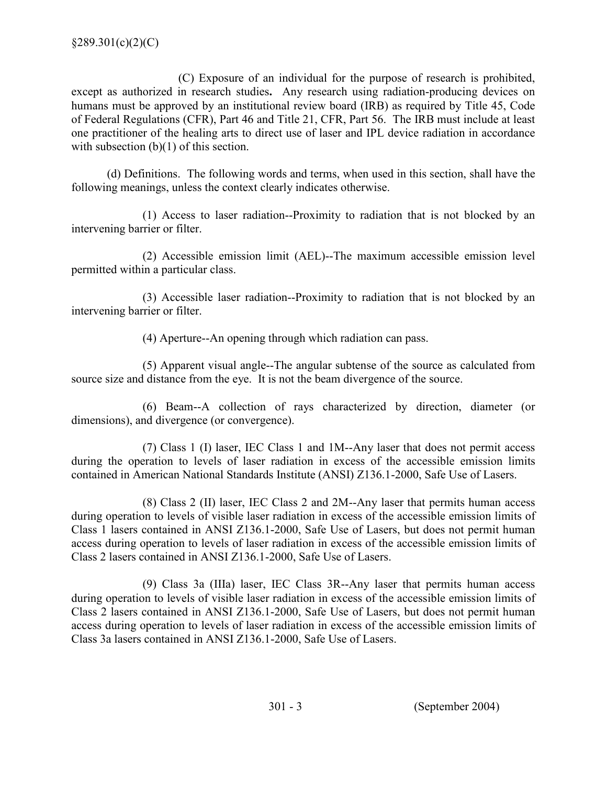(C) Exposure of an individual for the purpose of research is prohibited, except as authorized in research studies. Any research using radiation-producing devices on humans must be approved by an institutional review board (IRB) as required by Title 45, Code of Federal Regulations (CFR), Part 46 and Title 21, CFR, Part 56. The IRB must include at least one practitioner of the healing arts to direct use of laser and IPL device radiation in accordance with subsection  $(b)(1)$  of this section.

(d) Definitions. The following words and terms, when used in this section, shall have the following meanings, unless the context clearly indicates otherwise.

(1) Access to laser radiation--Proximity to radiation that is not blocked by an intervening barrier or filter.

(2) Accessible emission limit (AEL)--The maximum accessible emission level permitted within a particular class.

(3) Accessible laser radiation--Proximity to radiation that is not blocked by an intervening barrier or filter.

(4) Aperture--An opening through which radiation can pass.

(5) Apparent visual angle--The angular subtense of the source as calculated from source size and distance from the eye. It is not the beam divergence of the source.

(6) Beam--A collection of rays characterized by direction, diameter (or dimensions), and divergence (or convergence).

 (7) Class 1 (I) laser, IEC Class 1 and 1M--Any laser that does not permit access during the operation to levels of laser radiation in excess of the accessible emission limits contained in American National Standards Institute (ANSI) Z136.1-2000, Safe Use of Lasers.

 (8) Class 2 (II) laser, IEC Class 2 and 2M--Any laser that permits human access during operation to levels of visible laser radiation in excess of the accessible emission limits of Class 1 lasers contained in ANSI Z136.1-2000, Safe Use of Lasers, but does not permit human access during operation to levels of laser radiation in excess of the accessible emission limits of Class 2 lasers contained in ANSI Z136.1-2000, Safe Use of Lasers.

(9) Class 3a (IIIa) laser, IEC Class 3R--Any laser that permits human access during operation to levels of visible laser radiation in excess of the accessible emission limits of Class 2 lasers contained in ANSI Z136.1-2000, Safe Use of Lasers, but does not permit human access during operation to levels of laser radiation in excess of the accessible emission limits of Class 3a lasers contained in ANSI Z136.1-2000, Safe Use of Lasers.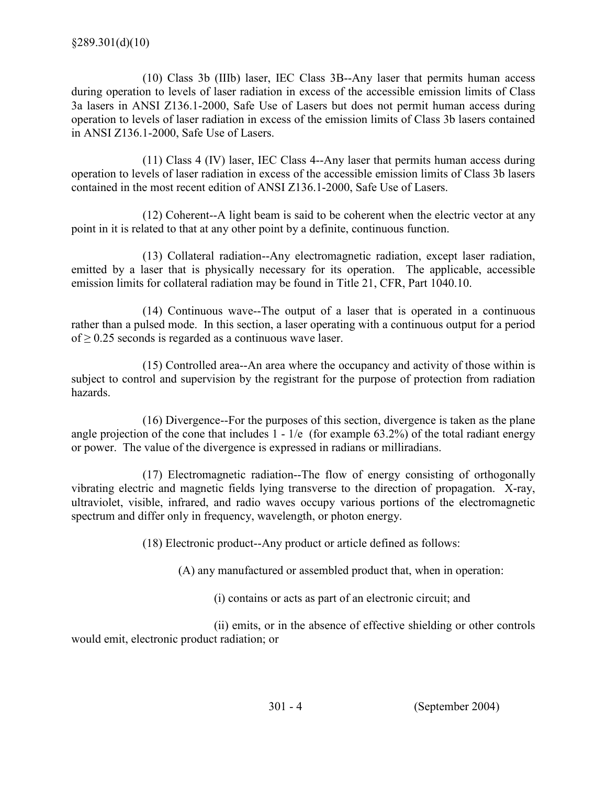(10) Class 3b (IIIb) laser, IEC Class 3B--Any laser that permits human access during operation to levels of laser radiation in excess of the accessible emission limits of Class 3a lasers in ANSI Z136.1-2000, Safe Use of Lasers but does not permit human access during operation to levels of laser radiation in excess of the emission limits of Class 3b lasers contained in ANSI Z136.1-2000, Safe Use of Lasers.

(11) Class 4 (IV) laser, IEC Class 4--Any laser that permits human access during operation to levels of laser radiation in excess of the accessible emission limits of Class 3b lasers contained in the most recent edition of ANSI Z136.1-2000, Safe Use of Lasers.

(12) Coherent--A light beam is said to be coherent when the electric vector at any point in it is related to that at any other point by a definite, continuous function.

(13) Collateral radiation--Any electromagnetic radiation, except laser radiation, emitted by a laser that is physically necessary for its operation. The applicable, accessible emission limits for collateral radiation may be found in Title 21, CFR, Part 1040.10.

(14) Continuous wave--The output of a laser that is operated in a continuous rather than a pulsed mode. In this section, a laser operating with a continuous output for a period of  $\geq$  0.25 seconds is regarded as a continuous wave laser.

(15) Controlled area--An area where the occupancy and activity of those within is subject to control and supervision by the registrant for the purpose of protection from radiation hazards.

(16) Divergence--For the purposes of this section, divergence is taken as the plane angle projection of the cone that includes  $1 - 1/e$  (for example 63.2%) of the total radiant energy or power. The value of the divergence is expressed in radians or milliradians.

(17) Electromagnetic radiation--The flow of energy consisting of orthogonally vibrating electric and magnetic fields lying transverse to the direction of propagation. X-ray, ultraviolet, visible, infrared, and radio waves occupy various portions of the electromagnetic spectrum and differ only in frequency, wavelength, or photon energy.

(18) Electronic product--Any product or article defined as follows:

(A) any manufactured or assembled product that, when in operation:

(i) contains or acts as part of an electronic circuit; and

 (ii) emits, or in the absence of effective shielding or other controls would emit, electronic product radiation; or

301 - 4 (September 2004)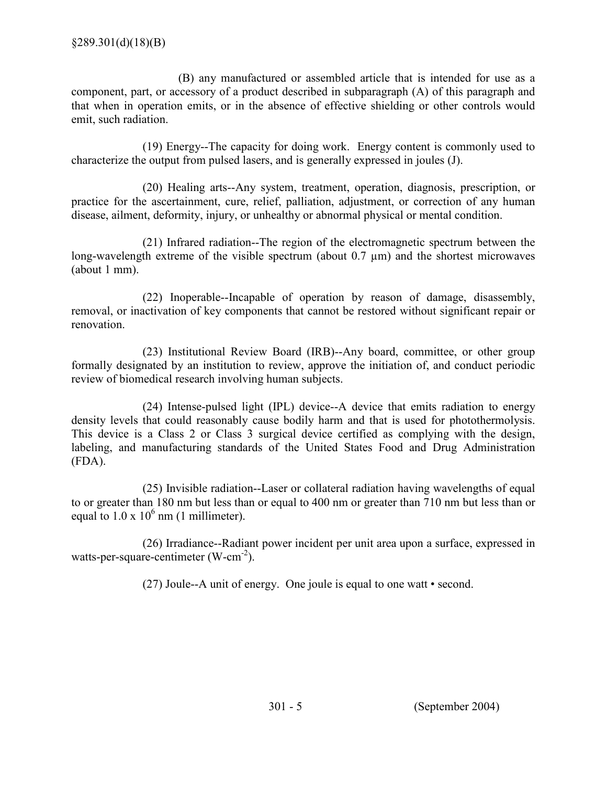(B) any manufactured or assembled article that is intended for use as a component, part, or accessory of a product described in subparagraph (A) of this paragraph and that when in operation emits, or in the absence of effective shielding or other controls would emit, such radiation.

(19) Energy--The capacity for doing work. Energy content is commonly used to characterize the output from pulsed lasers, and is generally expressed in joules (J).

(20) Healing arts--Any system, treatment, operation, diagnosis, prescription, or practice for the ascertainment, cure, relief, palliation, adjustment, or correction of any human disease, ailment, deformity, injury, or unhealthy or abnormal physical or mental condition.

(21) Infrared radiation--The region of the electromagnetic spectrum between the long-wavelength extreme of the visible spectrum (about  $0.7 \mu m$ ) and the shortest microwaves (about 1 mm).

(22) Inoperable--Incapable of operation by reason of damage, disassembly, removal, or inactivation of key components that cannot be restored without significant repair or renovation.

(23) Institutional Review Board (IRB)--Any board, committee, or other group formally designated by an institution to review, approve the initiation of, and conduct periodic review of biomedical research involving human subjects.

(24) Intense-pulsed light (IPL) device--A device that emits radiation to energy density levels that could reasonably cause bodily harm and that is used for photothermolysis. This device is a Class 2 or Class 3 surgical device certified as complying with the design, labeling, and manufacturing standards of the United States Food and Drug Administration (FDA).

(25) Invisible radiation--Laser or collateral radiation having wavelengths of equal to or greater than 180 nm but less than or equal to 400 nm or greater than 710 nm but less than or equal to  $1.0 \times 10^6$  nm (1 millimeter).

(26) Irradiance--Radiant power incident per unit area upon a surface, expressed in watts-per-square-centimeter (W-cm<sup>-2</sup>).

(27) Joule--A unit of energy. One joule is equal to one watt • second.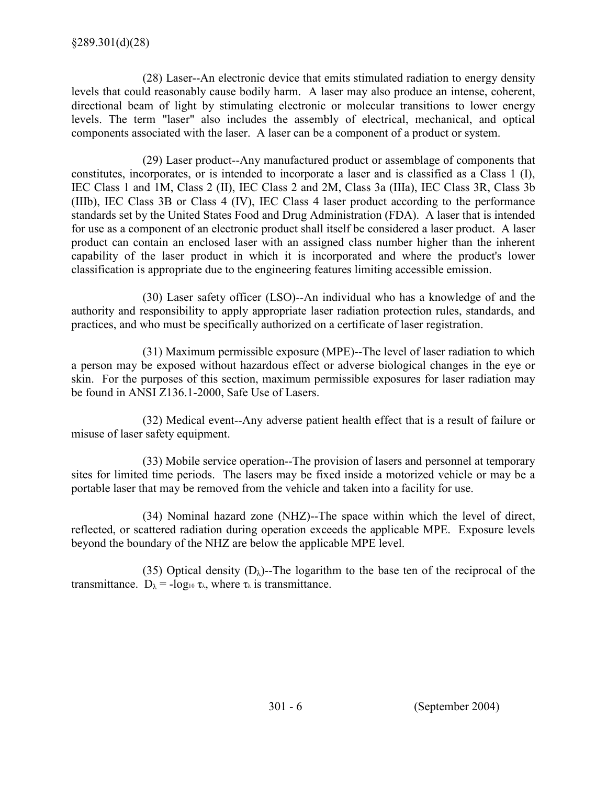(28) Laser--An electronic device that emits stimulated radiation to energy density levels that could reasonably cause bodily harm. A laser may also produce an intense, coherent, directional beam of light by stimulating electronic or molecular transitions to lower energy levels. The term "laser" also includes the assembly of electrical, mechanical, and optical components associated with the laser. A laser can be a component of a product or system.

(29) Laser product--Any manufactured product or assemblage of components that constitutes, incorporates, or is intended to incorporate a laser and is classified as a Class 1 (I), IEC Class 1 and 1M, Class 2 (II), IEC Class 2 and 2M, Class 3a (IIIa), IEC Class 3R, Class 3b (IIIb), IEC Class 3B or Class 4 (IV), IEC Class 4 laser product according to the performance standards set by the United States Food and Drug Administration (FDA). A laser that is intended for use as a component of an electronic product shall itself be considered a laser product. A laser product can contain an enclosed laser with an assigned class number higher than the inherent capability of the laser product in which it is incorporated and where the product's lower classification is appropriate due to the engineering features limiting accessible emission.

(30) Laser safety officer (LSO)--An individual who has a knowledge of and the authority and responsibility to apply appropriate laser radiation protection rules, standards, and practices, and who must be specifically authorized on a certificate of laser registration.

(31) Maximum permissible exposure (MPE)--The level of laser radiation to which a person may be exposed without hazardous effect or adverse biological changes in the eye or skin. For the purposes of this section, maximum permissible exposures for laser radiation may be found in ANSI Z136.1-2000, Safe Use of Lasers.

(32) Medical event--Any adverse patient health effect that is a result of failure or misuse of laser safety equipment.

(33) Mobile service operation--The provision of lasers and personnel at temporary sites for limited time periods. The lasers may be fixed inside a motorized vehicle or may be a portable laser that may be removed from the vehicle and taken into a facility for use.

(34) Nominal hazard zone (NHZ)--The space within which the level of direct, reflected, or scattered radiation during operation exceeds the applicable MPE. Exposure levels beyond the boundary of the NHZ are below the applicable MPE level.

(35) Optical density  $(D_{\lambda})$ -The logarithm to the base ten of the reciprocal of the transmittance.  $D_{\lambda} = -\log_{10} \tau_{\lambda}$ , where  $\tau_{\lambda}$  is transmittance.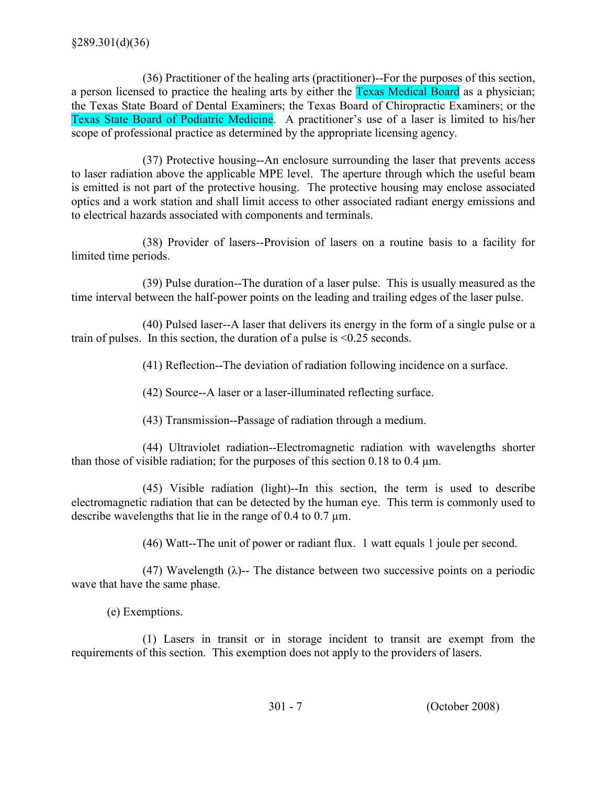(36) Practitioner of the healing arts (practitioner)--For the purposes of this section, a person licensed to practice the healing arts by either the Texas Medical Board as a physician; the Texas State Board of Dental Examiners; the Texas Board of Chiropractic Examiners; or the Texas State Board of Podiatric Medicine. A practitioner's use of a laser is limited to his/her scope of professional practice as determined by the appropriate licensing agency.

(37) Protective housing--An enclosure surrounding the laser that prevents access to laser radiation above the applicable MPE level. The aperture through which the useful beam is emitted is not part of the protective housing. The protective housing may enclose associated optics and a work station and shall limit access to other associated radiant energy emissions and to electrical hazards associated with components and terminals.

(38) Provider of lasers--Provision of lasers on a routine basis to a facility for limited time periods.

(39) Pulse duration--The duration of a laser pulse. This is usually measured as the time interval between the half-power points on the leading and trailing edges of the laser pulse.

(40) Pulsed laser--A laser that delivers its energy in the form of a single pulse or a train of pulses. In this section, the duration of a pulse is <0.25 seconds.

(41) Reflection--The deviation of radiation following incidence on a surface.

(42) Source--A laser or a laser-illuminated reflecting surface.

(43) Transmission--Passage of radiation through a medium.

(44) Ultraviolet radiation--Electromagnetic radiation with wavelengths shorter than those of visible radiation; for the purposes of this section  $0.18$  to  $0.4 \mu m$ .

(45) Visible radiation (light)--In this section, the term is used to describe electromagnetic radiation that can be detected by the human eye. This term is commonly used to describe wavelengths that lie in the range of 0.4 to 0.7 µm.

(46) Watt--The unit of power or radiant flux. 1 watt equals 1 joule per second.

(47) Wavelength ( $\lambda$ )-- The distance between two successive points on a periodic wave that have the same phase.

(e) Exemptions.

(1) Lasers in transit or in storage incident to transit are exempt from the requirements of this section. This exemption does not apply to the providers of lasers.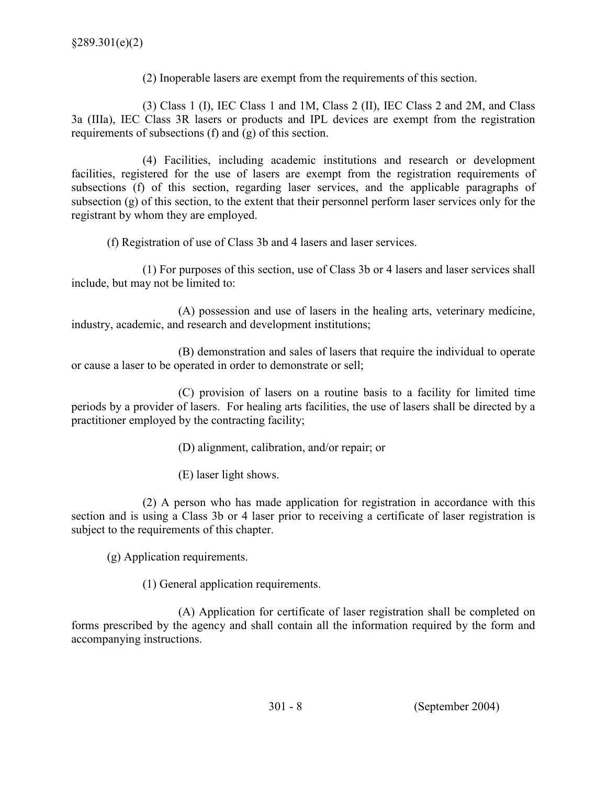(2) Inoperable lasers are exempt from the requirements of this section.

 (3) Class 1 (I), IEC Class 1 and 1M, Class 2 (II), IEC Class 2 and 2M, and Class 3a (IIIa), IEC Class 3R lasers or products and IPL devices are exempt from the registration requirements of subsections (f) and (g) of this section.

(4) Facilities, including academic institutions and research or development facilities, registered for the use of lasers are exempt from the registration requirements of subsections (f) of this section, regarding laser services, and the applicable paragraphs of subsection (g) of this section, to the extent that their personnel perform laser services only for the registrant by whom they are employed.

(f) Registration of use of Class 3b and 4 lasers and laser services.

(1) For purposes of this section, use of Class 3b or 4 lasers and laser services shall include, but may not be limited to:

(A) possession and use of lasers in the healing arts, veterinary medicine, industry, academic, and research and development institutions;

(B) demonstration and sales of lasers that require the individual to operate or cause a laser to be operated in order to demonstrate or sell;

(C) provision of lasers on a routine basis to a facility for limited time periods by a provider of lasers. For healing arts facilities, the use of lasers shall be directed by a practitioner employed by the contracting facility;

- (D) alignment, calibration, and/or repair; or
- (E) laser light shows.

(2) A person who has made application for registration in accordance with this section and is using a Class 3b or 4 laser prior to receiving a certificate of laser registration is subject to the requirements of this chapter.

(g) Application requirements.

(1) General application requirements.

(A) Application for certificate of laser registration shall be completed on forms prescribed by the agency and shall contain all the information required by the form and accompanying instructions.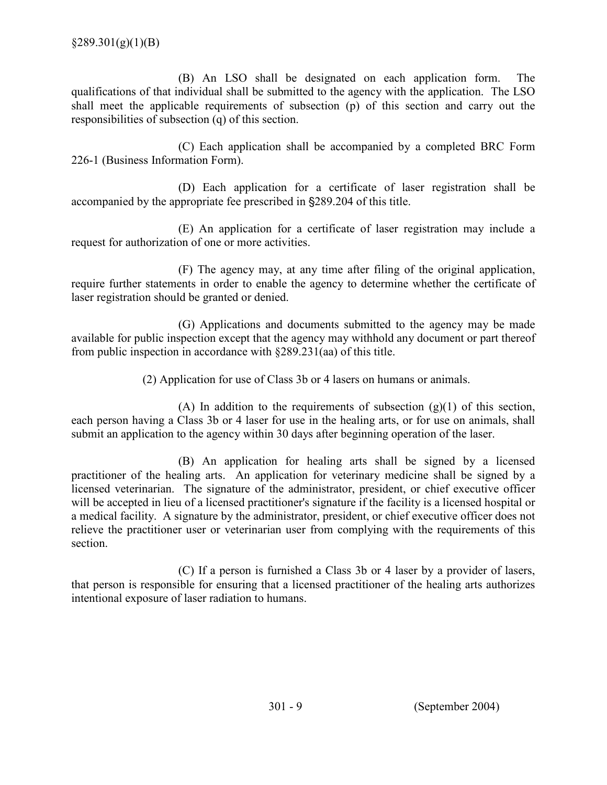(B) An LSO shall be designated on each application form. The qualifications of that individual shall be submitted to the agency with the application. The LSO shall meet the applicable requirements of subsection (p) of this section and carry out the responsibilities of subsection (q) of this section.

 (C) Each application shall be accompanied by a completed BRC Form 226-1 (Business Information Form).

(D) Each application for a certificate of laser registration shall be accompanied by the appropriate fee prescribed in  $\S 289.204$  of this title.

(E) An application for a certificate of laser registration may include a request for authorization of one or more activities.

(F) The agency may, at any time after filing of the original application, require further statements in order to enable the agency to determine whether the certificate of laser registration should be granted or denied.

(G) Applications and documents submitted to the agency may be made available for public inspection except that the agency may withhold any document or part thereof from public inspection in accordance with §289.231(aa) of this title.

(2) Application for use of Class 3b or 4 lasers on humans or animals.

(A) In addition to the requirements of subsection  $(g)(1)$  of this section, each person having a Class 3b or 4 laser for use in the healing arts, or for use on animals, shall submit an application to the agency within 30 days after beginning operation of the laser.

 (B) An application for healing arts shall be signed by a licensed practitioner of the healing arts. An application for veterinary medicine shall be signed by a licensed veterinarian. The signature of the administrator, president, or chief executive officer will be accepted in lieu of a licensed practitioner's signature if the facility is a licensed hospital or a medical facility. A signature by the administrator, president, or chief executive officer does not relieve the practitioner user or veterinarian user from complying with the requirements of this section.

(C) If a person is furnished a Class 3b or 4 laser by a provider of lasers, that person is responsible for ensuring that a licensed practitioner of the healing arts authorizes intentional exposure of laser radiation to humans.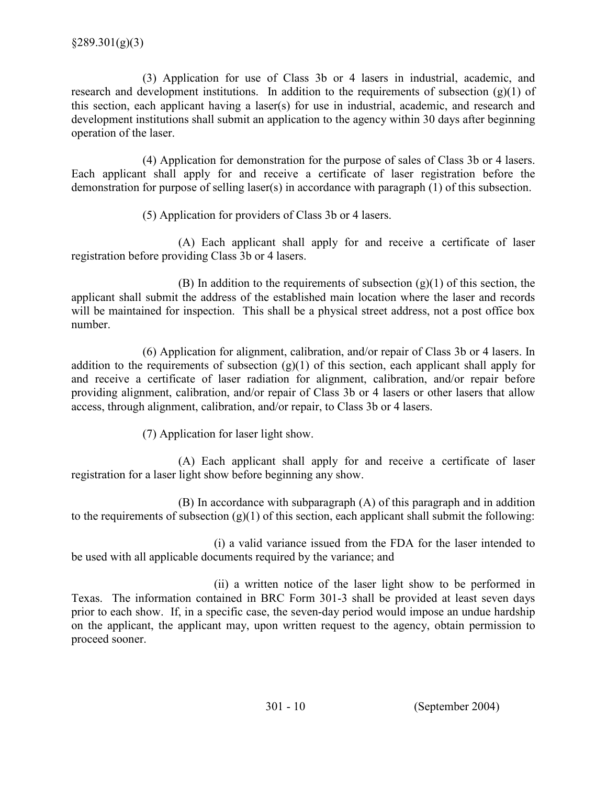(3) Application for use of Class 3b or 4 lasers in industrial, academic, and research and development institutions. In addition to the requirements of subsection  $(g)(1)$  of this section, each applicant having a laser(s) for use in industrial, academic, and research and development institutions shall submit an application to the agency within 30 days after beginning operation of the laser.

(4) Application for demonstration for the purpose of sales of Class 3b or 4 lasers. Each applicant shall apply for and receive a certificate of laser registration before the demonstration for purpose of selling laser(s) in accordance with paragraph (1) of this subsection.

(5) Application for providers of Class 3b or 4 lasers.

(A) Each applicant shall apply for and receive a certificate of laser registration before providing Class 3b or 4 lasers.

(B) In addition to the requirements of subsection  $(g)(1)$  of this section, the applicant shall submit the address of the established main location where the laser and records will be maintained for inspection. This shall be a physical street address, not a post office box number.

 (6) Application for alignment, calibration, and/or repair of Class 3b or 4 lasers. In addition to the requirements of subsection  $(g)(1)$  of this section, each applicant shall apply for and receive a certificate of laser radiation for alignment, calibration, and/or repair before providing alignment, calibration, and/or repair of Class 3b or 4 lasers or other lasers that allow access, through alignment, calibration, and/or repair, to Class 3b or 4 lasers.

(7) Application for laser light show.

(A) Each applicant shall apply for and receive a certificate of laser registration for a laser light show before beginning any show.

 (B) In accordance with subparagraph (A) of this paragraph and in addition to the requirements of subsection  $(g)(1)$  of this section, each applicant shall submit the following:

(i) a valid variance issued from the FDA for the laser intended to be used with all applicable documents required by the variance; and

(ii) a written notice of the laser light show to be performed in Texas. The information contained in BRC Form 301-3 shall be provided at least seven days prior to each show. If, in a specific case, the seven-day period would impose an undue hardship on the applicant, the applicant may, upon written request to the agency, obtain permission to proceed sooner.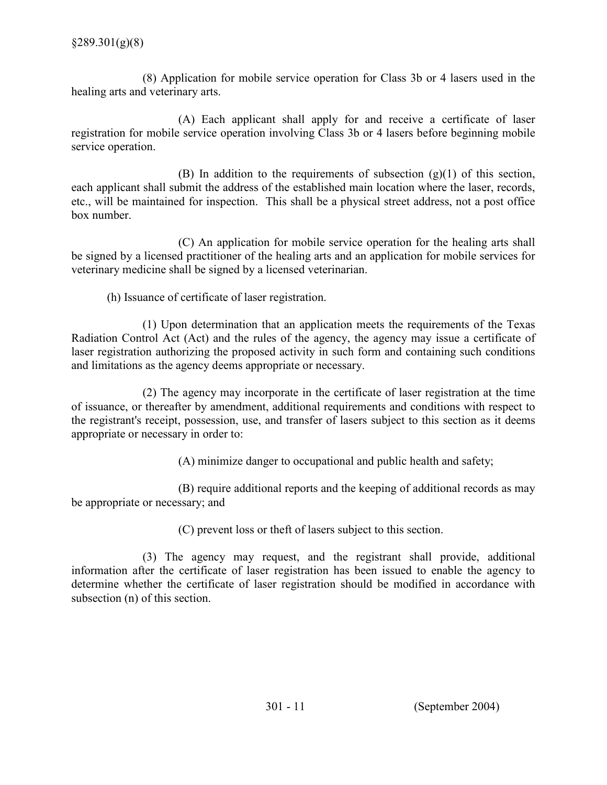(8) Application for mobile service operation for Class 3b or 4 lasers used in the healing arts and veterinary arts.

(A) Each applicant shall apply for and receive a certificate of laser registration for mobile service operation involving Class 3b or 4 lasers before beginning mobile service operation.

(B) In addition to the requirements of subsection  $(g)(1)$  of this section, each applicant shall submit the address of the established main location where the laser, records, etc., will be maintained for inspection. This shall be a physical street address, not a post office box number.

(C) An application for mobile service operation for the healing arts shall be signed by a licensed practitioner of the healing arts and an application for mobile services for veterinary medicine shall be signed by a licensed veterinarian.

(h) Issuance of certificate of laser registration.

(1) Upon determination that an application meets the requirements of the Texas Radiation Control Act (Act) and the rules of the agency, the agency may issue a certificate of laser registration authorizing the proposed activity in such form and containing such conditions and limitations as the agency deems appropriate or necessary.

 (2) The agency may incorporate in the certificate of laser registration at the time of issuance, or thereafter by amendment, additional requirements and conditions with respect to the registrant's receipt, possession, use, and transfer of lasers subject to this section as it deems appropriate or necessary in order to:

(A) minimize danger to occupational and public health and safety;

(B) require additional reports and the keeping of additional records as may be appropriate or necessary; and

(C) prevent loss or theft of lasers subject to this section.

 (3) The agency may request, and the registrant shall provide, additional information after the certificate of laser registration has been issued to enable the agency to determine whether the certificate of laser registration should be modified in accordance with subsection (n) of this section.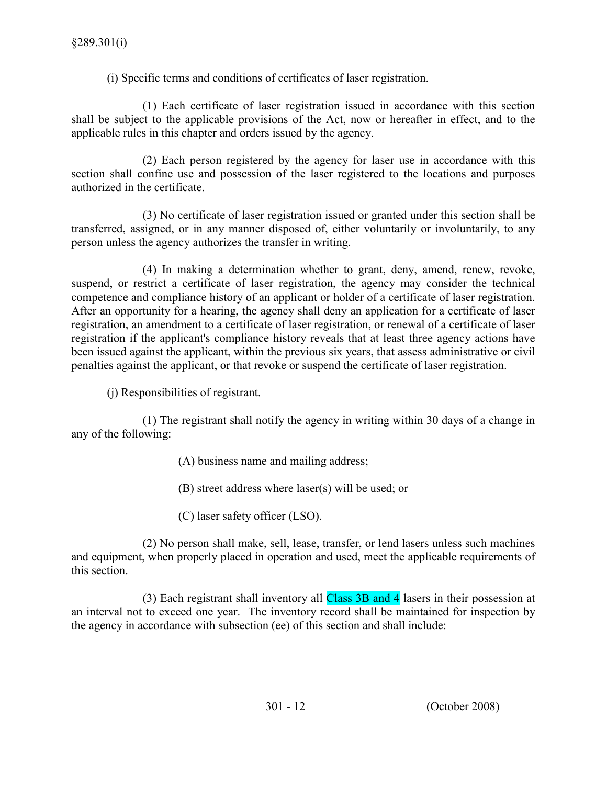(i) Specific terms and conditions of certificates of laser registration.

(1) Each certificate of laser registration issued in accordance with this section shall be subject to the applicable provisions of the Act, now or hereafter in effect, and to the applicable rules in this chapter and orders issued by the agency.

(2) Each person registered by the agency for laser use in accordance with this section shall confine use and possession of the laser registered to the locations and purposes authorized in the certificate.

 (3) No certificate of laser registration issued or granted under this section shall be transferred, assigned, or in any manner disposed of, either voluntarily or involuntarily, to any person unless the agency authorizes the transfer in writing.

(4) In making a determination whether to grant, deny, amend, renew, revoke, suspend, or restrict a certificate of laser registration, the agency may consider the technical competence and compliance history of an applicant or holder of a certificate of laser registration. After an opportunity for a hearing, the agency shall deny an application for a certificate of laser registration, an amendment to a certificate of laser registration, or renewal of a certificate of laser registration if the applicant's compliance history reveals that at least three agency actions have been issued against the applicant, within the previous six years, that assess administrative or civil penalties against the applicant, or that revoke or suspend the certificate of laser registration.

(j) Responsibilities of registrant.

(1) The registrant shall notify the agency in writing within 30 days of a change in any of the following:

- (A) business name and mailing address;
- (B) street address where laser(s) will be used; or
- (C) laser safety officer (LSO).

(2) No person shall make, sell, lease, transfer, or lend lasers unless such machines and equipment, when properly placed in operation and used, meet the applicable requirements of this section.

 (3) Each registrant shall inventory all Class 3B and 4 lasers in their possession at an interval not to exceed one year. The inventory record shall be maintained for inspection by the agency in accordance with subsection (ee) of this section and shall include: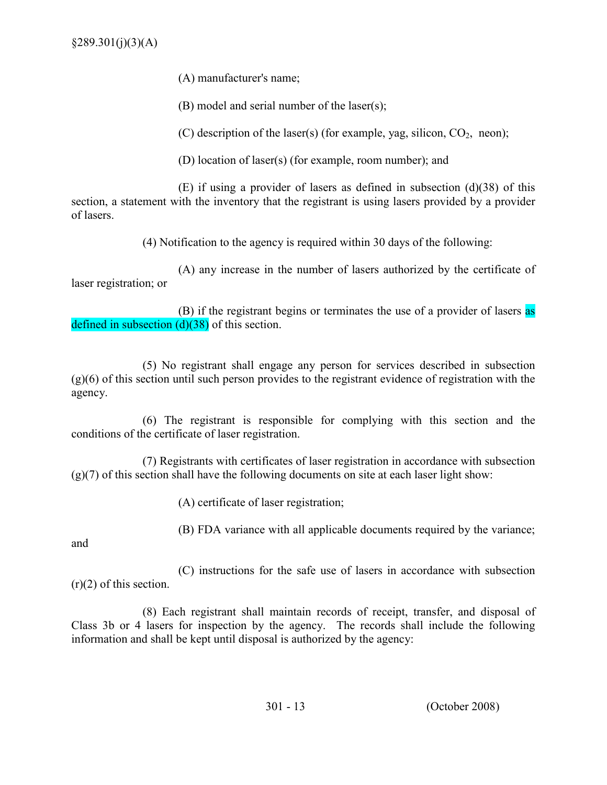(A) manufacturer's name;

(B) model and serial number of the laser(s);

(C) description of the laser(s) (for example, yag, silicon,  $CO<sub>2</sub>$ , neon);

(D) location of laser(s) (for example, room number); and

(E) if using a provider of lasers as defined in subsection (d)(38) of this section, a statement with the inventory that the registrant is using lasers provided by a provider of lasers.

(4) Notification to the agency is required within 30 days of the following:

 (A) any increase in the number of lasers authorized by the certificate of laser registration; or

 (B) if the registrant begins or terminates the use of a provider of lasers as defined in subsection  $(d)(38)$  of this section.

(5) No registrant shall engage any person for services described in subsection (g)(6) of this section until such person provides to the registrant evidence of registration with the agency.

 (6) The registrant is responsible for complying with this section and the conditions of the certificate of laser registration.

(7) Registrants with certificates of laser registration in accordance with subsection (g)(7) of this section shall have the following documents on site at each laser light show:

(A) certificate of laser registration;

(B) FDA variance with all applicable documents required by the variance;

and

(C) instructions for the safe use of lasers in accordance with subsection  $(r)(2)$  of this section.

 (8) Each registrant shall maintain records of receipt, transfer, and disposal of Class 3b or 4 lasers for inspection by the agency. The records shall include the following information and shall be kept until disposal is authorized by the agency: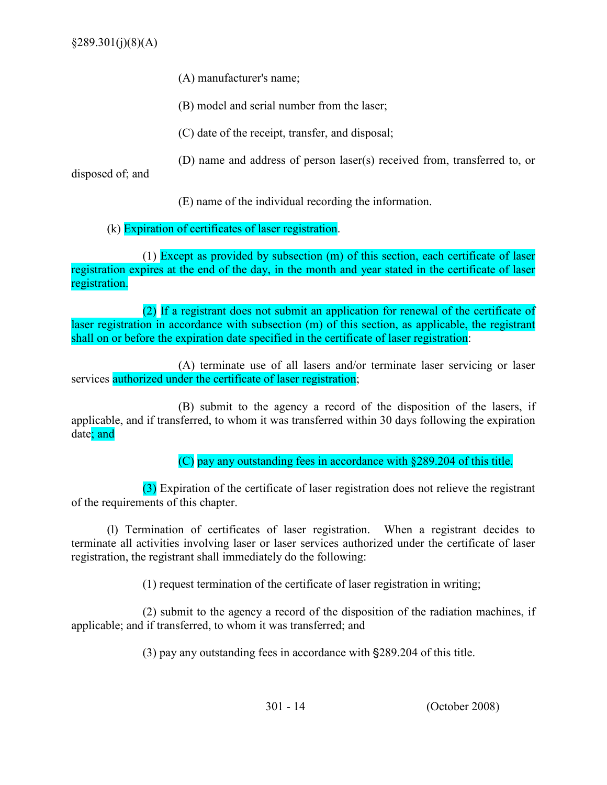- (A) manufacturer's name;
- (B) model and serial number from the laser;
- (C) date of the receipt, transfer, and disposal;
- (D) name and address of person laser(s) received from, transferred to, or

disposed of; and

- (E) name of the individual recording the information.
- (k) Expiration of certificates of laser registration.

(1) Except as provided by subsection (m) of this section, each certificate of laser registration expires at the end of the day, in the month and year stated in the certificate of laser registration.

 (2) If a registrant does not submit an application for renewal of the certificate of laser registration in accordance with subsection (m) of this section, as applicable, the registrant shall on or before the expiration date specified in the certificate of laser registration:

(A) terminate use of all lasers and/or terminate laser servicing or laser services authorized under the certificate of laser registration;

(B) submit to the agency a record of the disposition of the lasers, if applicable, and if transferred, to whom it was transferred within 30 days following the expiration date; and

(C) pay any outstanding fees in accordance with §289.204 of this title.

(3) Expiration of the certificate of laser registration does not relieve the registrant of the requirements of this chapter.

 (l) Termination of certificates of laser registration. When a registrant decides to terminate all activities involving laser or laser services authorized under the certificate of laser registration, the registrant shall immediately do the following:

(1) request termination of the certificate of laser registration in writing;

(2) submit to the agency a record of the disposition of the radiation machines, if applicable; and if transferred, to whom it was transferred; and

(3) pay any outstanding fees in accordance with  $\S 289.204$  of this title.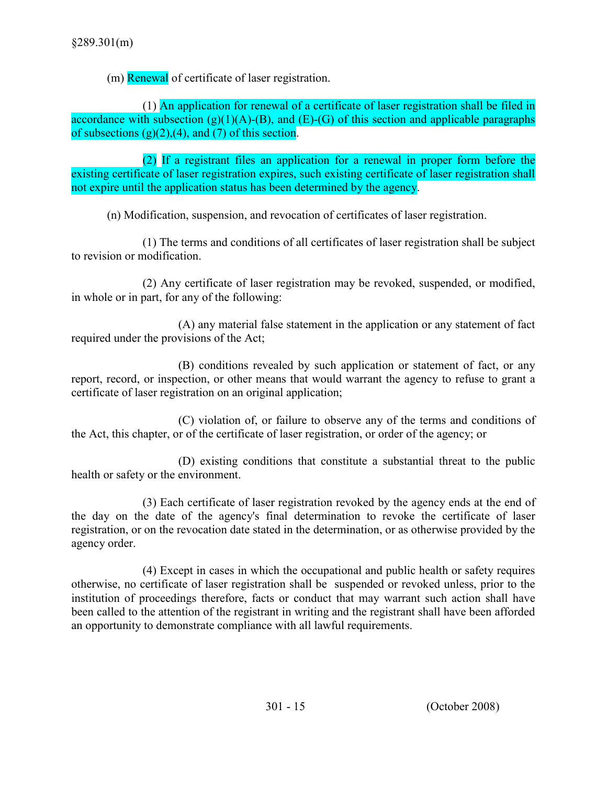(m) Renewal of certificate of laser registration.

(1) An application for renewal of a certificate of laser registration shall be filed in accordance with subsection  $(g)(1)(A)$ -(B), and  $(E)$ -(G) of this section and applicable paragraphs of subsections  $(g)(2),(4)$ , and  $(7)$  of this section.

(2) If a registrant files an application for a renewal in proper form before the existing certificate of laser registration expires, such existing certificate of laser registration shall not expire until the application status has been determined by the agency.

(n) Modification, suspension, and revocation of certificates of laser registration.

(1) The terms and conditions of all certificates of laser registration shall be subject to revision or modification.

(2) Any certificate of laser registration may be revoked, suspended, or modified, in whole or in part, for any of the following:

(A) any material false statement in the application or any statement of fact required under the provisions of the Act;

(B) conditions revealed by such application or statement of fact, or any report, record, or inspection, or other means that would warrant the agency to refuse to grant a certificate of laser registration on an original application;

(C) violation of, or failure to observe any of the terms and conditions of the Act, this chapter, or of the certificate of laser registration, or order of the agency; or

(D) existing conditions that constitute a substantial threat to the public health or safety or the environment.

(3) Each certificate of laser registration revoked by the agency ends at the end of the day on the date of the agency's final determination to revoke the certificate of laser registration, or on the revocation date stated in the determination, or as otherwise provided by the agency order.

(4) Except in cases in which the occupational and public health or safety requires otherwise, no certificate of laser registration shall be suspended or revoked unless, prior to the institution of proceedings therefore, facts or conduct that may warrant such action shall have been called to the attention of the registrant in writing and the registrant shall have been afforded an opportunity to demonstrate compliance with all lawful requirements.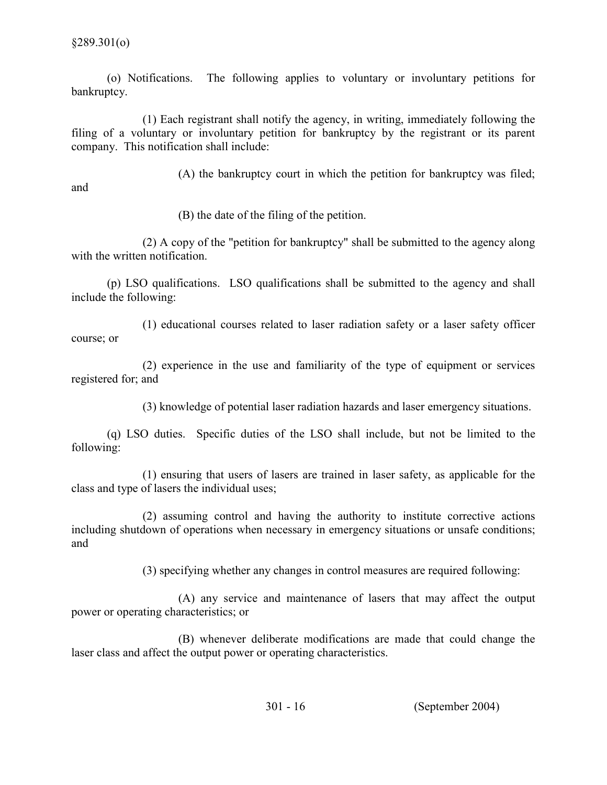(o) Notifications. The following applies to voluntary or involuntary petitions for bankruptcy.

(1) Each registrant shall notify the agency, in writing, immediately following the filing of a voluntary or involuntary petition for bankruptcy by the registrant or its parent company. This notification shall include:

 (A) the bankruptcy court in which the petition for bankruptcy was filed; and

(B) the date of the filing of the petition.

 (2) A copy of the "petition for bankruptcy" shall be submitted to the agency along with the written notification.

(p) LSO qualifications. LSO qualifications shall be submitted to the agency and shall include the following:

(1) educational courses related to laser radiation safety or a laser safety officer course; or

(2) experience in the use and familiarity of the type of equipment or services registered for; and

(3) knowledge of potential laser radiation hazards and laser emergency situations.

(q) LSO duties. Specific duties of the LSO shall include, but not be limited to the following:

(1) ensuring that users of lasers are trained in laser safety, as applicable for the class and type of lasers the individual uses;

(2) assuming control and having the authority to institute corrective actions including shutdown of operations when necessary in emergency situations or unsafe conditions; and

(3) specifying whether any changes in control measures are required following:

(A) any service and maintenance of lasers that may affect the output power or operating characteristics; or

(B) whenever deliberate modifications are made that could change the laser class and affect the output power or operating characteristics.

301 - 16 (September 2004)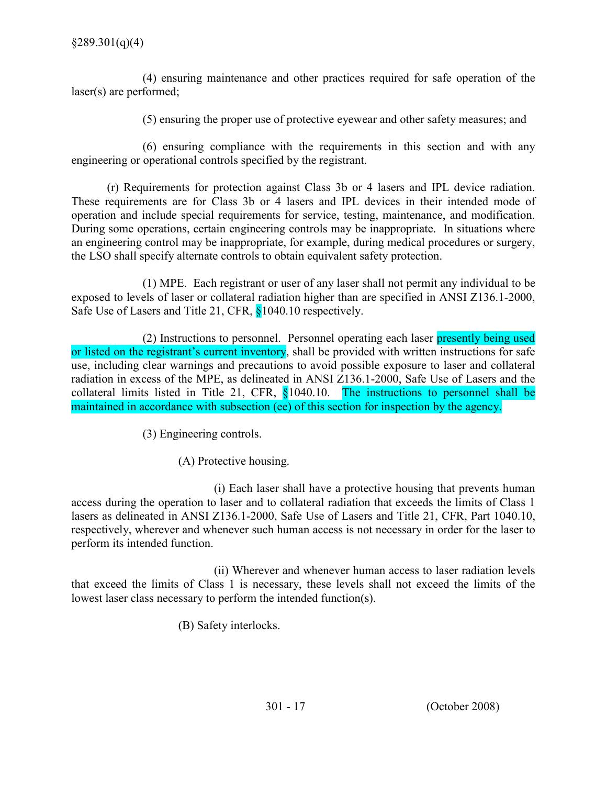(4) ensuring maintenance and other practices required for safe operation of the laser(s) are performed;

(5) ensuring the proper use of protective eyewear and other safety measures; and

(6) ensuring compliance with the requirements in this section and with any engineering or operational controls specified by the registrant.

(r) Requirements for protection against Class 3b or 4 lasers and IPL device radiation. These requirements are for Class 3b or 4 lasers and IPL devices in their intended mode of operation and include special requirements for service, testing, maintenance, and modification. During some operations, certain engineering controls may be inappropriate. In situations where an engineering control may be inappropriate, for example, during medical procedures or surgery, the LSO shall specify alternate controls to obtain equivalent safety protection.

(1) MPE. Each registrant or user of any laser shall not permit any individual to be exposed to levels of laser or collateral radiation higher than are specified in ANSI Z136.1-2000, Safe Use of Lasers and Title 21, CFR, §1040.10 respectively.

 (2) Instructions to personnel. Personnel operating each laser presently being used or listed on the registrant's current inventory, shall be provided with written instructions for safe use, including clear warnings and precautions to avoid possible exposure to laser and collateral radiation in excess of the MPE, as delineated in ANSI Z136.1-2000, Safe Use of Lasers and the collateral limits listed in Title 21, CFR, §1040.10. The instructions to personnel shall be maintained in accordance with subsection (ee) of this section for inspection by the agency.

(3) Engineering controls.

(A) Protective housing.

(i) Each laser shall have a protective housing that prevents human access during the operation to laser and to collateral radiation that exceeds the limits of Class 1 lasers as delineated in ANSI Z136.1-2000, Safe Use of Lasers and Title 21, CFR, Part 1040.10, respectively, wherever and whenever such human access is not necessary in order for the laser to perform its intended function.

(ii) Wherever and whenever human access to laser radiation levels that exceed the limits of Class 1 is necessary, these levels shall not exceed the limits of the lowest laser class necessary to perform the intended function(s).

(B) Safety interlocks.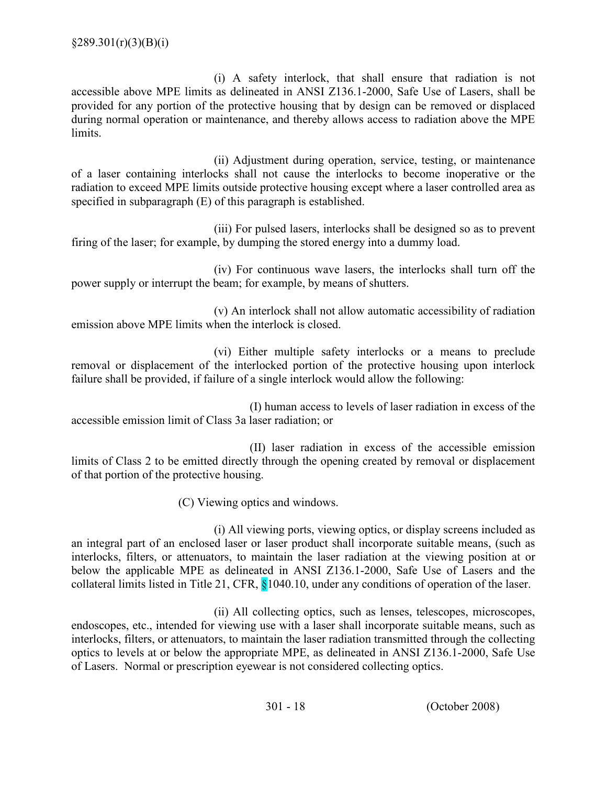(i) A safety interlock, that shall ensure that radiation is not accessible above MPE limits as delineated in ANSI Z136.1-2000, Safe Use of Lasers, shall be provided for any portion of the protective housing that by design can be removed or displaced during normal operation or maintenance, and thereby allows access to radiation above the MPE **limits** 

 (ii) Adjustment during operation, service, testing, or maintenance of a laser containing interlocks shall not cause the interlocks to become inoperative or the radiation to exceed MPE limits outside protective housing except where a laser controlled area as specified in subparagraph (E) of this paragraph is established.

(iii) For pulsed lasers, interlocks shall be designed so as to prevent firing of the laser; for example, by dumping the stored energy into a dummy load.

(iv) For continuous wave lasers, the interlocks shall turn off the power supply or interrupt the beam; for example, by means of shutters.

(v) An interlock shall not allow automatic accessibility of radiation emission above MPE limits when the interlock is closed.

(vi) Either multiple safety interlocks or a means to preclude removal or displacement of the interlocked portion of the protective housing upon interlock failure shall be provided, if failure of a single interlock would allow the following:

(I) human access to levels of laser radiation in excess of the accessible emission limit of Class 3a laser radiation; or

(II) laser radiation in excess of the accessible emission limits of Class 2 to be emitted directly through the opening created by removal or displacement of that portion of the protective housing.

(C) Viewing optics and windows.

 (i) All viewing ports, viewing optics, or display screens included as an integral part of an enclosed laser or laser product shall incorporate suitable means, (such as interlocks, filters, or attenuators, to maintain the laser radiation at the viewing position at or below the applicable MPE as delineated in ANSI Z136.1-2000, Safe Use of Lasers and the collateral limits listed in Title 21, CFR, §1040.10, under any conditions of operation of the laser.

(ii) All collecting optics, such as lenses, telescopes, microscopes, endoscopes, etc., intended for viewing use with a laser shall incorporate suitable means, such as interlocks, filters, or attenuators, to maintain the laser radiation transmitted through the collecting optics to levels at or below the appropriate MPE, as delineated in ANSI Z136.1-2000, Safe Use of Lasers. Normal or prescription eyewear is not considered collecting optics.

301 - 18 (October 2008)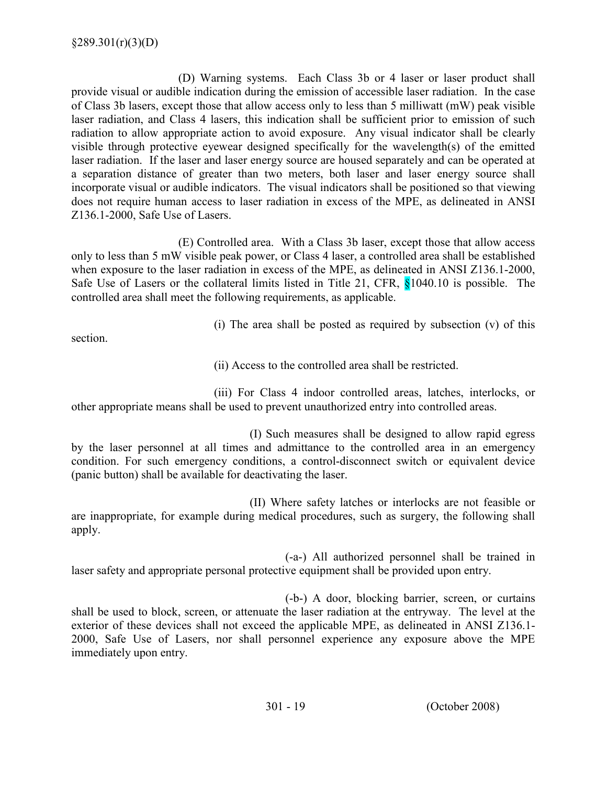(D) Warning systems. Each Class 3b or 4 laser or laser product shall provide visual or audible indication during the emission of accessible laser radiation. In the case of Class 3b lasers, except those that allow access only to less than 5 milliwatt (mW) peak visible laser radiation, and Class 4 lasers, this indication shall be sufficient prior to emission of such radiation to allow appropriate action to avoid exposure. Any visual indicator shall be clearly visible through protective eyewear designed specifically for the wavelength(s) of the emitted laser radiation. If the laser and laser energy source are housed separately and can be operated at a separation distance of greater than two meters, both laser and laser energy source shall incorporate visual or audible indicators. The visual indicators shall be positioned so that viewing does not require human access to laser radiation in excess of the MPE, as delineated in ANSI Z136.1-2000, Safe Use of Lasers.

(E) Controlled area. With a Class 3b laser, except those that allow access only to less than 5 mW visible peak power, or Class 4 laser, a controlled area shall be established when exposure to the laser radiation in excess of the MPE, as delineated in ANSI Z136.1-2000, Safe Use of Lasers or the collateral limits listed in Title 21, CFR, §1040.10 is possible. The controlled area shall meet the following requirements, as applicable.

(i) The area shall be posted as required by subsection (v) of this

section.

(ii) Access to the controlled area shall be restricted.

 (iii) For Class 4 indoor controlled areas, latches, interlocks, or other appropriate means shall be used to prevent unauthorized entry into controlled areas.

(I) Such measures shall be designed to allow rapid egress by the laser personnel at all times and admittance to the controlled area in an emergency condition. For such emergency conditions, a control-disconnect switch or equivalent device (panic button) shall be available for deactivating the laser.

(II) Where safety latches or interlocks are not feasible or are inappropriate, for example during medical procedures, such as surgery, the following shall apply.

(-a-) All authorized personnel shall be trained in laser safety and appropriate personal protective equipment shall be provided upon entry.

(-b-) A door, blocking barrier, screen, or curtains shall be used to block, screen, or attenuate the laser radiation at the entryway. The level at the exterior of these devices shall not exceed the applicable MPE, as delineated in ANSI Z136.1- 2000, Safe Use of Lasers, nor shall personnel experience any exposure above the MPE immediately upon entry.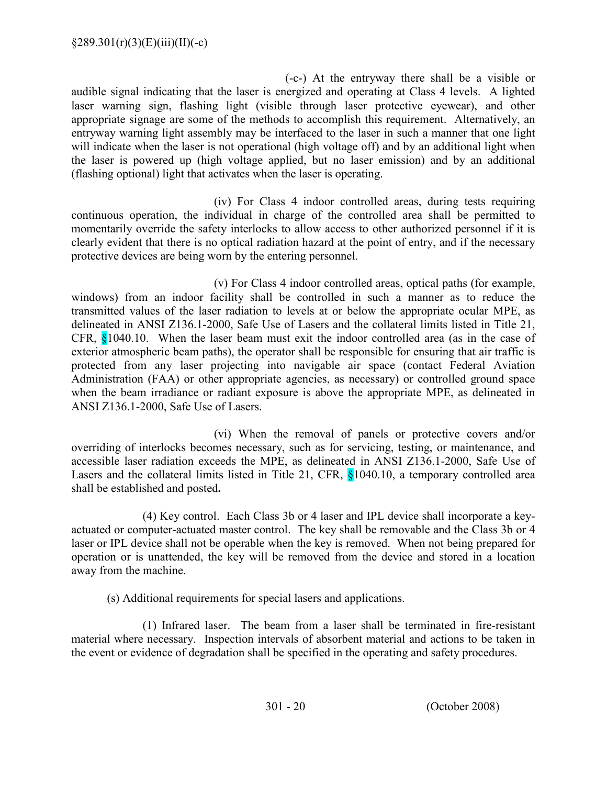(-c-) At the entryway there shall be a visible or audible signal indicating that the laser is energized and operating at Class 4 levels. A lighted laser warning sign, flashing light (visible through laser protective eyewear), and other appropriate signage are some of the methods to accomplish this requirement. Alternatively, an entryway warning light assembly may be interfaced to the laser in such a manner that one light will indicate when the laser is not operational (high voltage off) and by an additional light when the laser is powered up (high voltage applied, but no laser emission) and by an additional (flashing optional) light that activates when the laser is operating.

(iv) For Class 4 indoor controlled areas, during tests requiring continuous operation, the individual in charge of the controlled area shall be permitted to momentarily override the safety interlocks to allow access to other authorized personnel if it is clearly evident that there is no optical radiation hazard at the point of entry, and if the necessary protective devices are being worn by the entering personnel.

 (v) For Class 4 indoor controlled areas, optical paths (for example, windows) from an indoor facility shall be controlled in such a manner as to reduce the transmitted values of the laser radiation to levels at or below the appropriate ocular MPE, as delineated in ANSI Z136.1-2000, Safe Use of Lasers and the collateral limits listed in Title 21, CFR, §1040.10. When the laser beam must exit the indoor controlled area (as in the case of exterior atmospheric beam paths), the operator shall be responsible for ensuring that air traffic is protected from any laser projecting into navigable air space (contact Federal Aviation Administration (FAA) or other appropriate agencies, as necessary) or controlled ground space when the beam irradiance or radiant exposure is above the appropriate MPE, as delineated in ANSI Z136.1-2000, Safe Use of Lasers.

(vi) When the removal of panels or protective covers and/or overriding of interlocks becomes necessary, such as for servicing, testing, or maintenance, and accessible laser radiation exceeds the MPE, as delineated in ANSI Z136.1-2000, Safe Use of Lasers and the collateral limits listed in Title 21, CFR,  $\frac{81040.10}{9}$ , a temporary controlled area shall be established and posted.

(4) Key control. Each Class 3b or 4 laser and IPL device shall incorporate a keyactuated or computer-actuated master control. The key shall be removable and the Class 3b or 4 laser or IPL device shall not be operable when the key is removed. When not being prepared for operation or is unattended, the key will be removed from the device and stored in a location away from the machine.

(s) Additional requirements for special lasers and applications.

(1) Infrared laser. The beam from a laser shall be terminated in fire-resistant material where necessary. Inspection intervals of absorbent material and actions to be taken in the event or evidence of degradation shall be specified in the operating and safety procedures.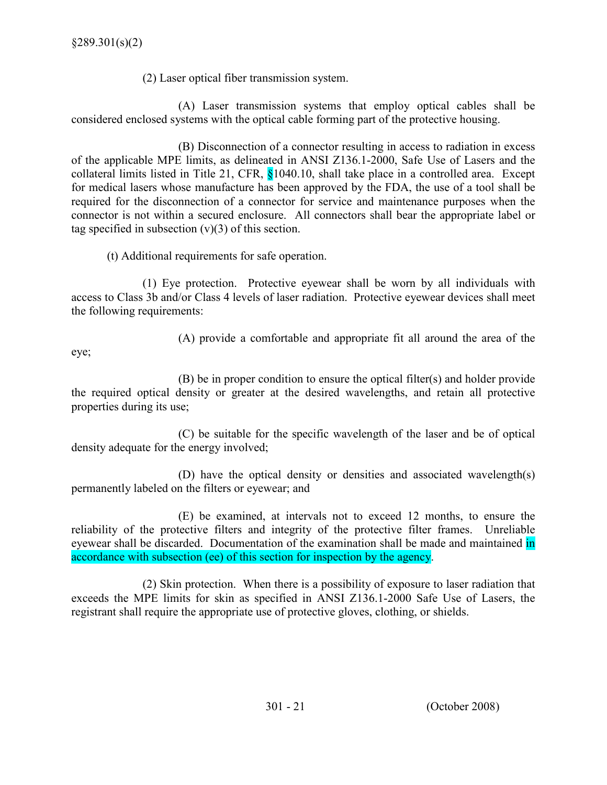(2) Laser optical fiber transmission system.

(A) Laser transmission systems that employ optical cables shall be considered enclosed systems with the optical cable forming part of the protective housing.

(B) Disconnection of a connector resulting in access to radiation in excess of the applicable MPE limits, as delineated in ANSI Z136.1-2000, Safe Use of Lasers and the collateral limits listed in Title 21, CFR, §1040.10, shall take place in a controlled area. Except for medical lasers whose manufacture has been approved by the FDA, the use of a tool shall be required for the disconnection of a connector for service and maintenance purposes when the connector is not within a secured enclosure. All connectors shall bear the appropriate label or tag specified in subsection  $(v)(3)$  of this section.

(t) Additional requirements for safe operation.

(1) Eye protection. Protective eyewear shall be worn by all individuals with access to Class 3b and/or Class 4 levels of laser radiation. Protective eyewear devices shall meet the following requirements:

(A) provide a comfortable and appropriate fit all around the area of the

eye;

(B) be in proper condition to ensure the optical filter(s) and holder provide the required optical density or greater at the desired wavelengths, and retain all protective properties during its use;

(C) be suitable for the specific wavelength of the laser and be of optical density adequate for the energy involved;

(D) have the optical density or densities and associated wavelength(s) permanently labeled on the filters or eyewear; and

(E) be examined, at intervals not to exceed 12 months, to ensure the reliability of the protective filters and integrity of the protective filter frames. Unreliable eyewear shall be discarded. Documentation of the examination shall be made and maintained in accordance with subsection (ee) of this section for inspection by the agency.

(2) Skin protection. When there is a possibility of exposure to laser radiation that exceeds the MPE limits for skin as specified in ANSI Z136.1-2000 Safe Use of Lasers, the registrant shall require the appropriate use of protective gloves, clothing, or shields.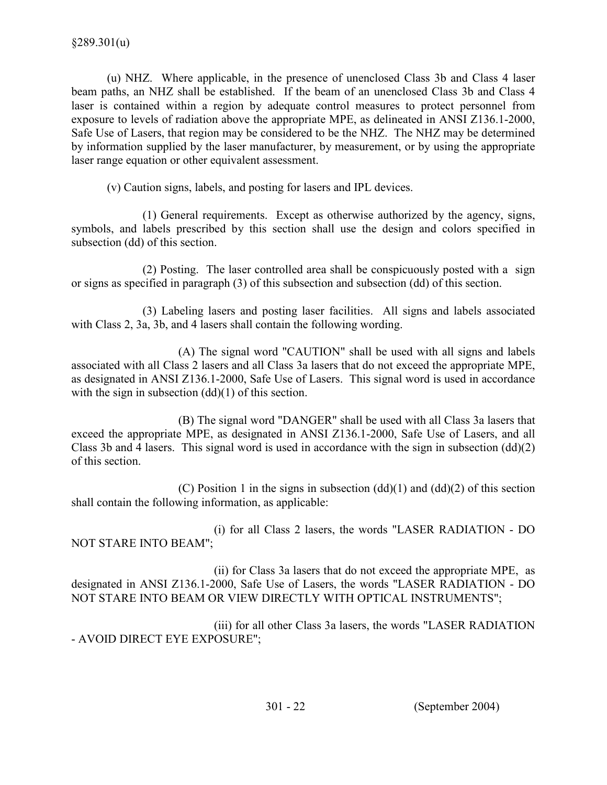(u) NHZ. Where applicable, in the presence of unenclosed Class 3b and Class 4 laser beam paths, an NHZ shall be established. If the beam of an unenclosed Class 3b and Class 4 laser is contained within a region by adequate control measures to protect personnel from exposure to levels of radiation above the appropriate MPE, as delineated in ANSI Z136.1-2000, Safe Use of Lasers, that region may be considered to be the NHZ. The NHZ may be determined by information supplied by the laser manufacturer, by measurement, or by using the appropriate laser range equation or other equivalent assessment.

(v) Caution signs, labels, and posting for lasers and IPL devices.

 (1) General requirements. Except as otherwise authorized by the agency, signs, symbols, and labels prescribed by this section shall use the design and colors specified in subsection (dd) of this section.

(2) Posting. The laser controlled area shall be conspicuously posted with a sign or signs as specified in paragraph (3) of this subsection and subsection (dd) of this section.

(3) Labeling lasers and posting laser facilities. All signs and labels associated with Class 2, 3a, 3b, and 4 lasers shall contain the following wording.

 (A) The signal word "CAUTION" shall be used with all signs and labels associated with all Class 2 lasers and all Class 3a lasers that do not exceed the appropriate MPE, as designated in ANSI Z136.1-2000, Safe Use of Lasers. This signal word is used in accordance with the sign in subsection  $(dd)(1)$  of this section.

 (B) The signal word "DANGER" shall be used with all Class 3a lasers that exceed the appropriate MPE, as designated in ANSI Z136.1-2000, Safe Use of Lasers, and all Class 3b and 4 lasers. This signal word is used in accordance with the sign in subsection (dd)(2) of this section.

(C) Position 1 in the signs in subsection  $(dd)(1)$  and  $(dd)(2)$  of this section shall contain the following information, as applicable:

 (i) for all Class 2 lasers, the words "LASER RADIATION - DO NOT STARE INTO BEAM";

 (ii) for Class 3a lasers that do not exceed the appropriate MPE, as designated in ANSI Z136.1-2000, Safe Use of Lasers, the words "LASER RADIATION - DO NOT STARE INTO BEAM OR VIEW DIRECTLY WITH OPTICAL INSTRUMENTS";

 (iii) for all other Class 3a lasers, the words "LASER RADIATION - AVOID DIRECT EYE EXPOSURE";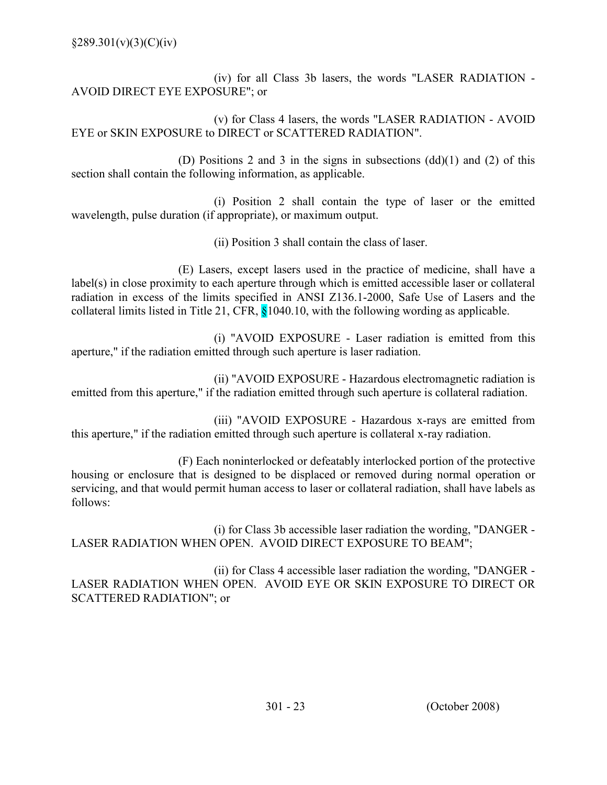(iv) for all Class 3b lasers, the words "LASER RADIATION - AVOID DIRECT EYE EXPOSURE"; or

 (v) for Class 4 lasers, the words "LASER RADIATION - AVOID EYE or SKIN EXPOSURE to DIRECT or SCATTERED RADIATION".

 (D) Positions 2 and 3 in the signs in subsections (dd)(1) and (2) of this section shall contain the following information, as applicable.

 (i) Position 2 shall contain the type of laser or the emitted wavelength, pulse duration (if appropriate), or maximum output.

(ii) Position 3 shall contain the class of laser.

(E) Lasers, except lasers used in the practice of medicine, shall have a label(s) in close proximity to each aperture through which is emitted accessible laser or collateral radiation in excess of the limits specified in ANSI Z136.1-2000, Safe Use of Lasers and the collateral limits listed in Title 21, CFR, §1040.10, with the following wording as applicable.

(i) "AVOID EXPOSURE - Laser radiation is emitted from this aperture," if the radiation emitted through such aperture is laser radiation.

(ii) "AVOID EXPOSURE - Hazardous electromagnetic radiation is emitted from this aperture," if the radiation emitted through such aperture is collateral radiation.

(iii) "AVOID EXPOSURE - Hazardous x-rays are emitted from this aperture," if the radiation emitted through such aperture is collateral x-ray radiation.

(F) Each noninterlocked or defeatably interlocked portion of the protective housing or enclosure that is designed to be displaced or removed during normal operation or servicing, and that would permit human access to laser or collateral radiation, shall have labels as follows:

 (i) for Class 3b accessible laser radiation the wording, "DANGER - LASER RADIATION WHEN OPEN. AVOID DIRECT EXPOSURE TO BEAM";

(ii) for Class 4 accessible laser radiation the wording, "DANGER - LASER RADIATION WHEN OPEN. AVOID EYE OR SKIN EXPOSURE TO DIRECT OR SCATTERED RADIATION"; or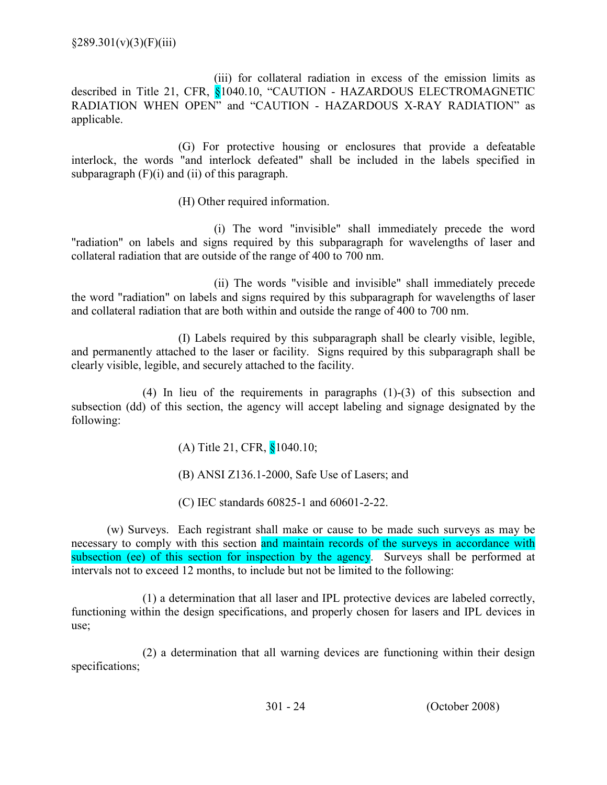$§289.301(v)(3)(F)(iii)$ 

 (iii) for collateral radiation in excess of the emission limits as described in Title 21, CFR, §1040.10, "CAUTION - HAZARDOUS ELECTROMAGNETIC RADIATION WHEN OPEN" and "CAUTION - HAZARDOUS X-RAY RADIATION" as applicable.

 (G) For protective housing or enclosures that provide a defeatable interlock, the words "and interlock defeated" shall be included in the labels specified in subparagraph  $(F)(i)$  and  $(ii)$  of this paragraph.

(H) Other required information.

(i) The word "invisible" shall immediately precede the word "radiation" on labels and signs required by this subparagraph for wavelengths of laser and collateral radiation that are outside of the range of 400 to 700 nm.

(ii) The words "visible and invisible" shall immediately precede the word "radiation" on labels and signs required by this subparagraph for wavelengths of laser and collateral radiation that are both within and outside the range of 400 to 700 nm.

(I) Labels required by this subparagraph shall be clearly visible, legible, and permanently attached to the laser or facility. Signs required by this subparagraph shall be clearly visible, legible, and securely attached to the facility.

 (4) In lieu of the requirements in paragraphs (1)-(3) of this subsection and subsection (dd) of this section, the agency will accept labeling and signage designated by the following:

(A) Title 21, CFR, §1040.10;

(B) ANSI Z136.1-2000, Safe Use of Lasers; and

(C) IEC standards 60825-1 and 60601-2-22.

(w) Surveys. Each registrant shall make or cause to be made such surveys as may be necessary to comply with this section and maintain records of the surveys in accordance with subsection (ee) of this section for inspection by the agency. Surveys shall be performed at intervals not to exceed 12 months, to include but not be limited to the following:

(1) a determination that all laser and IPL protective devices are labeled correctly, functioning within the design specifications, and properly chosen for lasers and IPL devices in use;

(2) a determination that all warning devices are functioning within their design specifications;

301 - 24 (October 2008)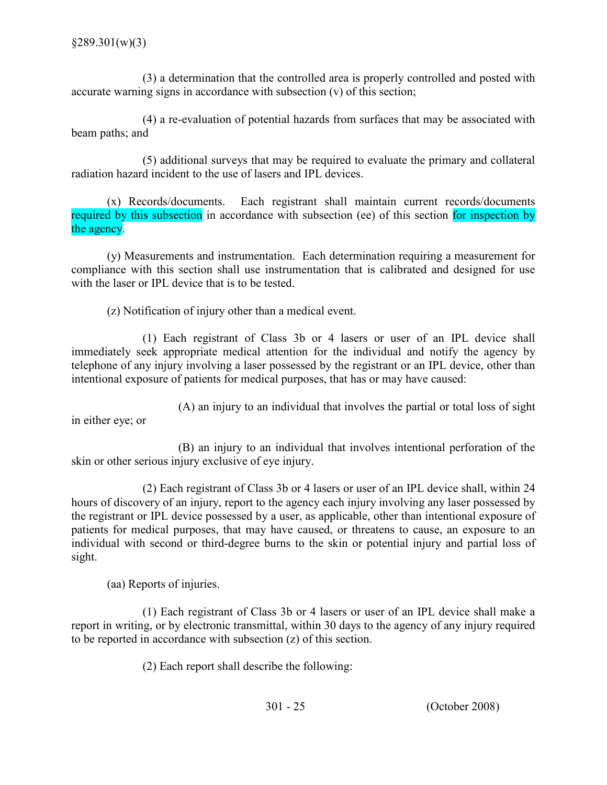(3) a determination that the controlled area is properly controlled and posted with accurate warning signs in accordance with subsection (v) of this section;

(4) a re-evaluation of potential hazards from surfaces that may be associated with beam paths; and

(5) additional surveys that may be required to evaluate the primary and collateral radiation hazard incident to the use of lasers and IPL devices.

(x) Records/documents. Each registrant shall maintain current records/documents required by this subsection in accordance with subsection (ee) of this section for inspection by the agency.

(y) Measurements and instrumentation. Each determination requiring a measurement for compliance with this section shall use instrumentation that is calibrated and designed for use with the laser or IPL device that is to be tested.

(z) Notification of injury other than a medical event.

(1) Each registrant of Class 3b or 4 lasers or user of an IPL device shall immediately seek appropriate medical attention for the individual and notify the agency by telephone of any injury involving a laser possessed by the registrant or an IPL device, other than intentional exposure of patients for medical purposes, that has or may have caused:

(A) an injury to an individual that involves the partial or total loss of sight in either eye; or

(B) an injury to an individual that involves intentional perforation of the skin or other serious injury exclusive of eye injury.

(2) Each registrant of Class 3b or 4 lasers or user of an IPL device shall, within 24 hours of discovery of an injury, report to the agency each injury involving any laser possessed by the registrant or IPL device possessed by a user, as applicable, other than intentional exposure of patients for medical purposes, that may have caused, or threatens to cause, an exposure to an individual with second or third-degree burns to the skin or potential injury and partial loss of sight.

(aa) Reports of injuries.

(1) Each registrant of Class 3b or 4 lasers or user of an IPL device shall make a report in writing, or by electronic transmittal, within 30 days to the agency of any injury required to be reported in accordance with subsection (z) of this section.

(2) Each report shall describe the following: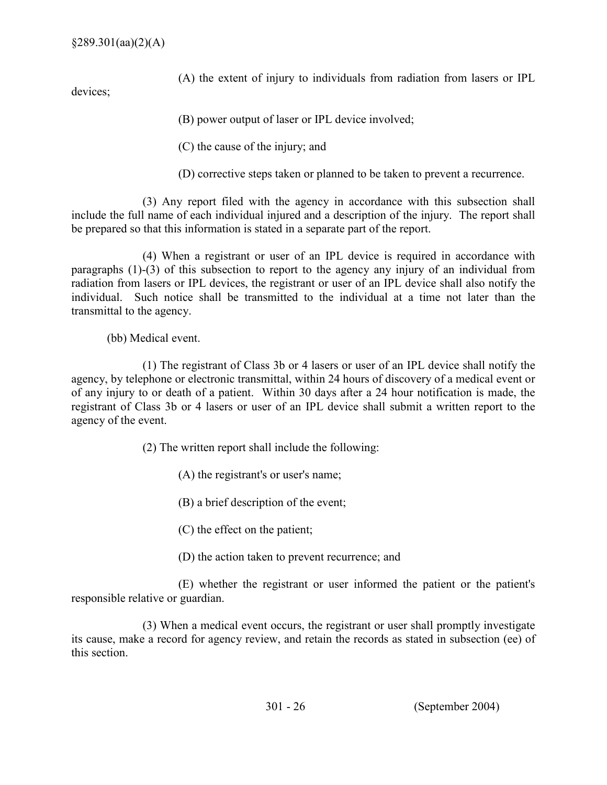(A) the extent of injury to individuals from radiation from lasers or IPL

devices;

(B) power output of laser or IPL device involved;

(C) the cause of the injury; and

(D) corrective steps taken or planned to be taken to prevent a recurrence.

(3) Any report filed with the agency in accordance with this subsection shall include the full name of each individual injured and a description of the injury. The report shall be prepared so that this information is stated in a separate part of the report.

(4) When a registrant or user of an IPL device is required in accordance with paragraphs (1)-(3) of this subsection to report to the agency any injury of an individual from radiation from lasers or IPL devices, the registrant or user of an IPL device shall also notify the individual. Such notice shall be transmitted to the individual at a time not later than the transmittal to the agency.

(bb) Medical event.

(1) The registrant of Class 3b or 4 lasers or user of an IPL device shall notify the agency, by telephone or electronic transmittal, within 24 hours of discovery of a medical event or of any injury to or death of a patient. Within 30 days after a 24 hour notification is made, the registrant of Class 3b or 4 lasers or user of an IPL device shall submit a written report to the agency of the event.

(2) The written report shall include the following:

- (A) the registrant's or user's name;
- (B) a brief description of the event;
- (C) the effect on the patient;
- (D) the action taken to prevent recurrence; and

(E) whether the registrant or user informed the patient or the patient's responsible relative or guardian.

(3) When a medical event occurs, the registrant or user shall promptly investigate its cause, make a record for agency review, and retain the records as stated in subsection (ee) of this section.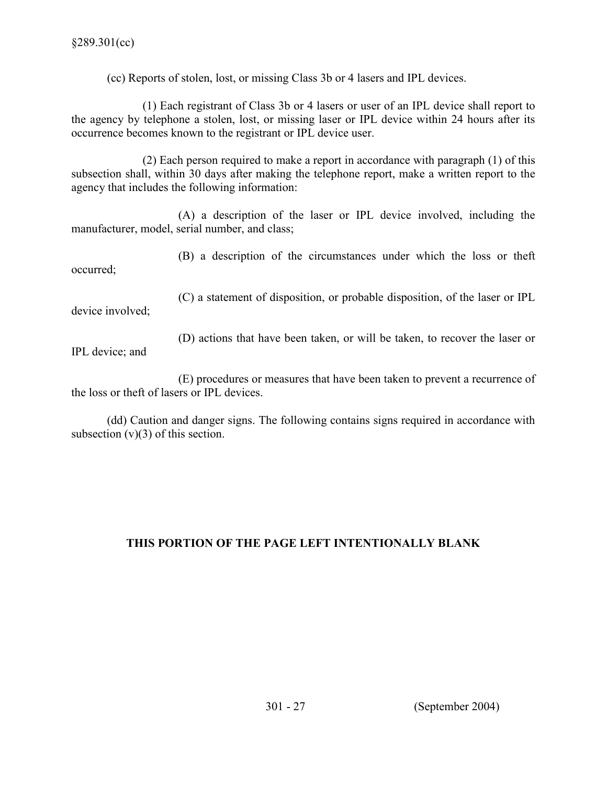(cc) Reports of stolen, lost, or missing Class 3b or 4 lasers and IPL devices.

 (1) Each registrant of Class 3b or 4 lasers or user of an IPL device shall report to the agency by telephone a stolen, lost, or missing laser or IPL device within 24 hours after its occurrence becomes known to the registrant or IPL device user.

 (2) Each person required to make a report in accordance with paragraph (1) of this subsection shall, within 30 days after making the telephone report, make a written report to the agency that includes the following information:

 (A) a description of the laser or IPL device involved, including the manufacturer, model, serial number, and class;

 (B) a description of the circumstances under which the loss or theft occurred;

 (C) a statement of disposition, or probable disposition, of the laser or IPL device involved;

 (D) actions that have been taken, or will be taken, to recover the laser or IPL device; and

(E) procedures or measures that have been taken to prevent a recurrence of the loss or theft of lasers or IPL devices.

 (dd) Caution and danger signs. The following contains signs required in accordance with subsection  $(v)(3)$  of this section.

# THIS PORTION OF THE PAGE LEFT INTENTIONALLY BLANK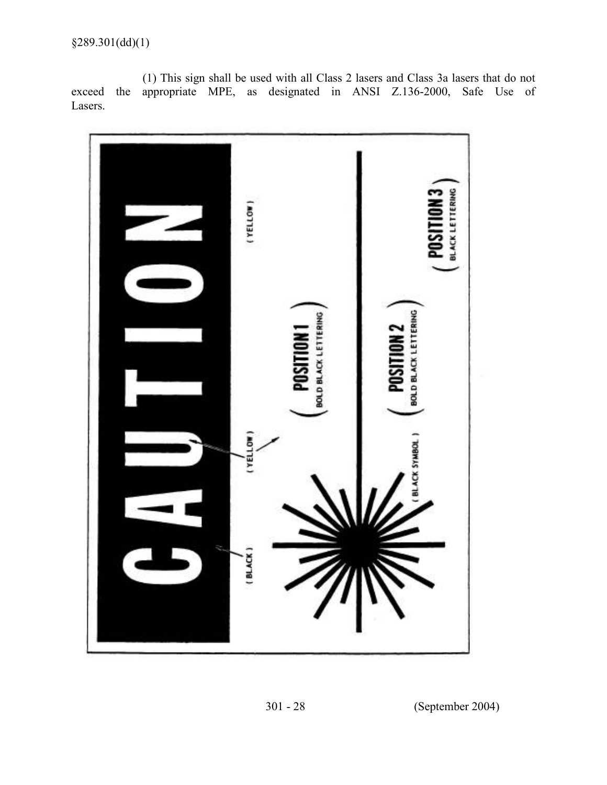(1) This sign shall be used with all Class 2 lasers and Class 3a lasers that do not exceed the appropriate MPE, as designated in ANSI Z.136-2000, Safe Use of Lasers.



301 - 28 (September 2004)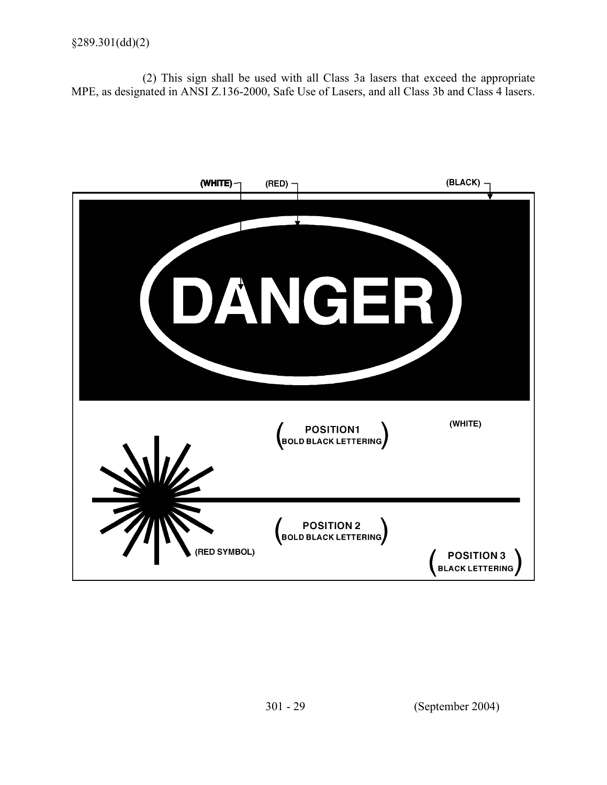(2) This sign shall be used with all Class 3a lasers that exceed the appropriate MPE, as designated in ANSI Z.136-2000, Safe Use of Lasers, and all Class 3b and Class 4 lasers.

| (WHITE)      | $(RED)$ -                          | (BLACK)                                     |
|--------------|------------------------------------|---------------------------------------------|
| DYA'I        | NGE.                               |                                             |
| ZI N         | POSITION1<br>BOLD BLACK LETTERING  | (WHITE)                                     |
| (RED SYMBOL) | POSITION 2<br>BOLD BLACK LETTERING | <b>POSITION 3</b><br><b>BLACK LETTERING</b> |